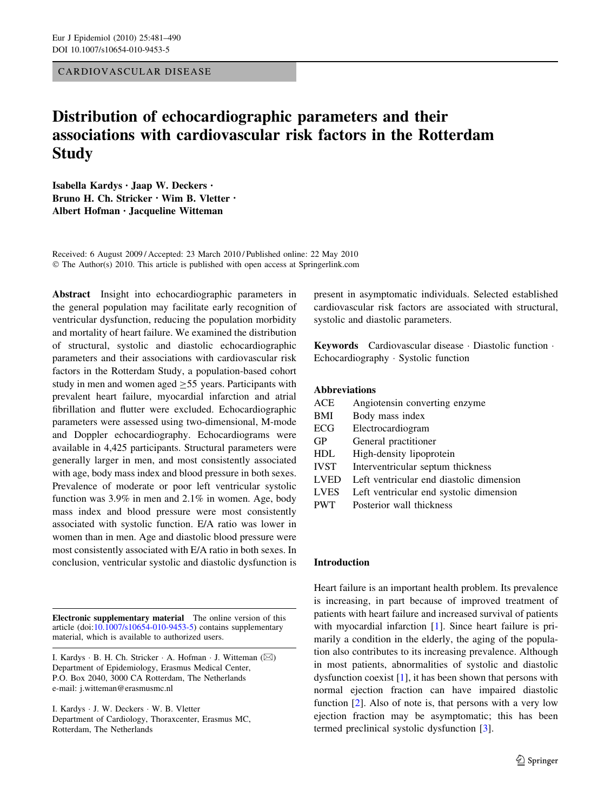CARDIOVASCULAR DISEASE

# Distribution of echocardiographic parameters and their associations with cardiovascular risk factors in the Rotterdam **Study**

Isabella Kardys • Jaap W. Deckers • Bruno H. Ch. Stricker • Wim B. Vletter • Albert Hofman • Jacqueline Witteman

Received: 6 August 2009 / Accepted: 23 March 2010 / Published online: 22 May 2010 © The Author(s) 2010. This article is published with open access at Springerlink.com

Abstract Insight into echocardiographic parameters in the general population may facilitate early recognition of ventricular dysfunction, reducing the population morbidity and mortality of heart failure. We examined the distribution of structural, systolic and diastolic echocardiographic parameters and their associations with cardiovascular risk factors in the Rotterdam Study, a population-based cohort study in men and women aged  $\geq$  55 years. Participants with prevalent heart failure, myocardial infarction and atrial fibrillation and flutter were excluded. Echocardiographic parameters were assessed using two-dimensional, M-mode and Doppler echocardiography. Echocardiograms were available in 4,425 participants. Structural parameters were generally larger in men, and most consistently associated with age, body mass index and blood pressure in both sexes. Prevalence of moderate or poor left ventricular systolic function was 3.9% in men and 2.1% in women. Age, body mass index and blood pressure were most consistently associated with systolic function. E/A ratio was lower in women than in men. Age and diastolic blood pressure were most consistently associated with E/A ratio in both sexes. In conclusion, ventricular systolic and diastolic dysfunction is

Electronic supplementary material The online version of this article (doi:[10.1007/s10654-010-9453-5\)](http://dx.doi.org/10.1007/s10654-010-9453-5) contains supplementary material, which is available to authorized users.

I. Kardys - J. W. Deckers - W. B. Vletter Department of Cardiology, Thoraxcenter, Erasmus MC, Rotterdam, The Netherlands

present in asymptomatic individuals. Selected established cardiovascular risk factors are associated with structural, systolic and diastolic parameters.

Keywords Cardiovascular disease - Diastolic function - Echocardiography - Systolic function

# Abbreviations

| <b>ACE</b>  | Angiotensin converting enzyme            |
|-------------|------------------------------------------|
| <b>BMI</b>  | Body mass index                          |
| ECG         | Electrocardiogram                        |
| GP          | General practitioner                     |
| <b>HDL</b>  | High-density lipoprotein                 |
| <b>IVST</b> | Interventricular septum thickness        |
| <b>LVED</b> | Left ventricular end diastolic dimension |
| <b>LVES</b> | Left ventricular end systolic dimension  |
| <b>PWT</b>  | Posterior wall thickness                 |

#### Introduction

Heart failure is an important health problem. Its prevalence is increasing, in part because of improved treatment of patients with heart failure and increased survival of patients with myocardial infarction [[1\]](#page-8-0). Since heart failure is primarily a condition in the elderly, the aging of the population also contributes to its increasing prevalence. Although in most patients, abnormalities of systolic and diastolic dysfunction coexist [[1\]](#page-8-0), it has been shown that persons with normal ejection fraction can have impaired diastolic function [\[2](#page-8-0)]. Also of note is, that persons with a very low ejection fraction may be asymptomatic; this has been termed preclinical systolic dysfunction [[3\]](#page-8-0).

I. Kardys ⋅ B. H. Ch. Stricker ⋅ A. Hofman ⋅ J. Witteman (⊠) Department of Epidemiology, Erasmus Medical Center, P.O. Box 2040, 3000 CA Rotterdam, The Netherlands e-mail: j.witteman@erasmusmc.nl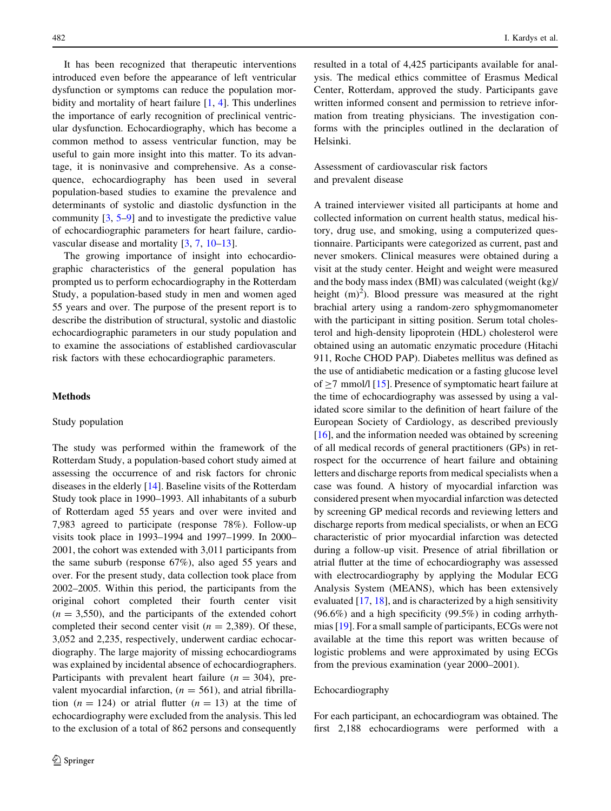It has been recognized that therapeutic interventions introduced even before the appearance of left ventricular dysfunction or symptoms can reduce the population morbidity and mortality of heart failure [\[1](#page-8-0), [4\]](#page-8-0). This underlines the importance of early recognition of preclinical ventricular dysfunction. Echocardiography, which has become a common method to assess ventricular function, may be useful to gain more insight into this matter. To its advantage, it is noninvasive and comprehensive. As a consequence, echocardiography has been used in several population-based studies to examine the prevalence and determinants of systolic and diastolic dysfunction in the community  $[3, 5-9]$  $[3, 5-9]$  $[3, 5-9]$  and to investigate the predictive value of echocardiographic parameters for heart failure, cardiovascular disease and mortality [[3,](#page-8-0) [7](#page-8-0), [10–13\]](#page-8-0).

The growing importance of insight into echocardiographic characteristics of the general population has prompted us to perform echocardiography in the Rotterdam Study, a population-based study in men and women aged 55 years and over. The purpose of the present report is to describe the distribution of structural, systolic and diastolic echocardiographic parameters in our study population and to examine the associations of established cardiovascular risk factors with these echocardiographic parameters.

# Methods

#### Study population

The study was performed within the framework of the Rotterdam Study, a population-based cohort study aimed at assessing the occurrence of and risk factors for chronic diseases in the elderly [[14\]](#page-8-0). Baseline visits of the Rotterdam Study took place in 1990–1993. All inhabitants of a suburb of Rotterdam aged 55 years and over were invited and 7,983 agreed to participate (response 78%). Follow-up visits took place in 1993–1994 and 1997–1999. In 2000– 2001, the cohort was extended with 3,011 participants from the same suburb (response 67%), also aged 55 years and over. For the present study, data collection took place from 2002–2005. Within this period, the participants from the original cohort completed their fourth center visit  $(n = 3,550)$ , and the participants of the extended cohort completed their second center visit ( $n = 2,389$ ). Of these, 3,052 and 2,235, respectively, underwent cardiac echocardiography. The large majority of missing echocardiograms was explained by incidental absence of echocardiographers. Participants with prevalent heart failure  $(n = 304)$ , prevalent myocardial infarction,  $(n = 561)$ , and atrial fibrillation  $(n = 124)$  or atrial flutter  $(n = 13)$  at the time of echocardiography were excluded from the analysis. This led to the exclusion of a total of 862 persons and consequently resulted in a total of 4,425 participants available for analysis. The medical ethics committee of Erasmus Medical Center, Rotterdam, approved the study. Participants gave written informed consent and permission to retrieve information from treating physicians. The investigation conforms with the principles outlined in the declaration of Helsinki.

Assessment of cardiovascular risk factors and prevalent disease

A trained interviewer visited all participants at home and collected information on current health status, medical history, drug use, and smoking, using a computerized questionnaire. Participants were categorized as current, past and never smokers. Clinical measures were obtained during a visit at the study center. Height and weight were measured and the body mass index (BMI) was calculated (weight (kg)/ height  $(m)^2$ ). Blood pressure was measured at the right brachial artery using a random-zero sphygmomanometer with the participant in sitting position. Serum total cholesterol and high-density lipoprotein (HDL) cholesterol were obtained using an automatic enzymatic procedure (Hitachi 911, Roche CHOD PAP). Diabetes mellitus was defined as the use of antidiabetic medication or a fasting glucose level of  $>7$  mmol/l [[15\]](#page-8-0). Presence of symptomatic heart failure at the time of echocardiography was assessed by using a validated score similar to the definition of heart failure of the European Society of Cardiology, as described previously [\[16](#page-8-0)], and the information needed was obtained by screening of all medical records of general practitioners (GPs) in retrospect for the occurrence of heart failure and obtaining letters and discharge reports from medical specialists when a case was found. A history of myocardial infarction was considered present when myocardial infarction was detected by screening GP medical records and reviewing letters and discharge reports from medical specialists, or when an ECG characteristic of prior myocardial infarction was detected during a follow-up visit. Presence of atrial fibrillation or atrial flutter at the time of echocardiography was assessed with electrocardiography by applying the Modular ECG Analysis System (MEANS), which has been extensively evaluated [\[17](#page-8-0), [18\]](#page-9-0), and is characterized by a high sensitivity (96.6%) and a high specificity (99.5%) in coding arrhythmias [\[19](#page-9-0)]. For a small sample of participants, ECGs were not available at the time this report was written because of logistic problems and were approximated by using ECGs from the previous examination (year 2000–2001).

#### Echocardiography

For each participant, an echocardiogram was obtained. The first 2,188 echocardiograms were performed with a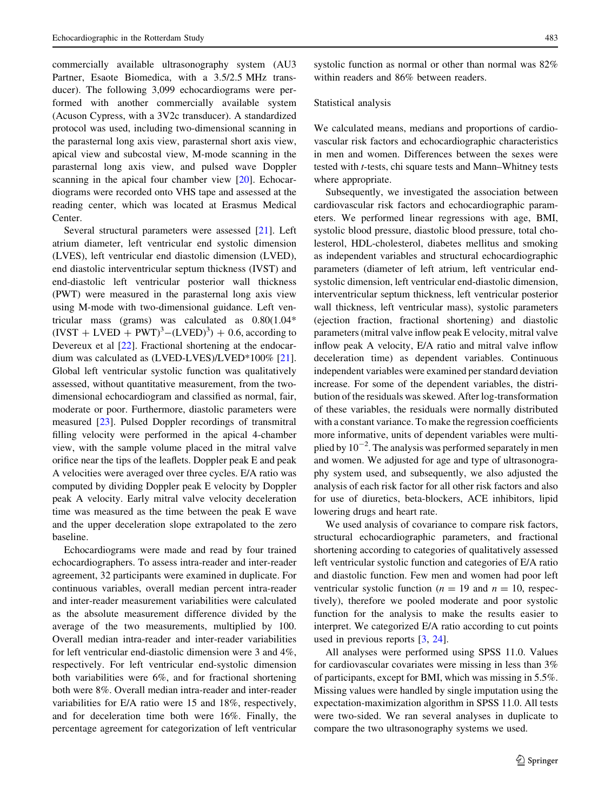commercially available ultrasonography system (AU3 Partner, Esaote Biomedica, with a 3.5/2.5 MHz transducer). The following 3,099 echocardiograms were performed with another commercially available system (Acuson Cypress, with a 3V2c transducer). A standardized protocol was used, including two-dimensional scanning in the parasternal long axis view, parasternal short axis view, apical view and subcostal view, M-mode scanning in the parasternal long axis view, and pulsed wave Doppler scanning in the apical four chamber view [\[20](#page-9-0)]. Echocardiograms were recorded onto VHS tape and assessed at the reading center, which was located at Erasmus Medical Center.

Several structural parameters were assessed [\[21](#page-9-0)]. Left atrium diameter, left ventricular end systolic dimension (LVES), left ventricular end diastolic dimension (LVED), end diastolic interventricular septum thickness (IVST) and end-diastolic left ventricular posterior wall thickness (PWT) were measured in the parasternal long axis view using M-mode with two-dimensional guidance. Left ventricular mass (grams) was calculated as 0.80(1.04\*  $(IVST + LVED + PWT)^3 - (LVED)^3 + 0.6$ , according to Devereux et al  $[22]$  $[22]$ . Fractional shortening at the endocardium was calculated as (LVED-LVES)/LVED\*100% [\[21](#page-9-0)]. Global left ventricular systolic function was qualitatively assessed, without quantitative measurement, from the twodimensional echocardiogram and classified as normal, fair, moderate or poor. Furthermore, diastolic parameters were measured [\[23](#page-9-0)]. Pulsed Doppler recordings of transmitral filling velocity were performed in the apical 4-chamber view, with the sample volume placed in the mitral valve orifice near the tips of the leaflets. Doppler peak E and peak A velocities were averaged over three cycles. E/A ratio was computed by dividing Doppler peak E velocity by Doppler peak A velocity. Early mitral valve velocity deceleration time was measured as the time between the peak E wave and the upper deceleration slope extrapolated to the zero baseline.

Echocardiograms were made and read by four trained echocardiographers. To assess intra-reader and inter-reader agreement, 32 participants were examined in duplicate. For continuous variables, overall median percent intra-reader and inter-reader measurement variabilities were calculated as the absolute measurement difference divided by the average of the two measurements, multiplied by 100. Overall median intra-reader and inter-reader variabilities for left ventricular end-diastolic dimension were 3 and 4%, respectively. For left ventricular end-systolic dimension both variabilities were 6%, and for fractional shortening both were 8%. Overall median intra-reader and inter-reader variabilities for E/A ratio were 15 and 18%, respectively, and for deceleration time both were 16%. Finally, the percentage agreement for categorization of left ventricular systolic function as normal or other than normal was 82% within readers and 86% between readers.

#### Statistical analysis

We calculated means, medians and proportions of cardiovascular risk factors and echocardiographic characteristics in men and women. Differences between the sexes were tested with t-tests, chi square tests and Mann–Whitney tests where appropriate.

Subsequently, we investigated the association between cardiovascular risk factors and echocardiographic parameters. We performed linear regressions with age, BMI, systolic blood pressure, diastolic blood pressure, total cholesterol, HDL-cholesterol, diabetes mellitus and smoking as independent variables and structural echocardiographic parameters (diameter of left atrium, left ventricular endsystolic dimension, left ventricular end-diastolic dimension, interventricular septum thickness, left ventricular posterior wall thickness, left ventricular mass), systolic parameters (ejection fraction, fractional shortening) and diastolic parameters (mitral valve inflow peak E velocity, mitral valve inflow peak A velocity, E/A ratio and mitral valve inflow deceleration time) as dependent variables. Continuous independent variables were examined per standard deviation increase. For some of the dependent variables, the distribution of the residuals was skewed. After log-transformation of these variables, the residuals were normally distributed with a constant variance. To make the regression coefficients more informative, units of dependent variables were multiplied by  $10^{-2}$ . The analysis was performed separately in men and women. We adjusted for age and type of ultrasonography system used, and subsequently, we also adjusted the analysis of each risk factor for all other risk factors and also for use of diuretics, beta-blockers, ACE inhibitors, lipid lowering drugs and heart rate.

We used analysis of covariance to compare risk factors, structural echocardiographic parameters, and fractional shortening according to categories of qualitatively assessed left ventricular systolic function and categories of E/A ratio and diastolic function. Few men and women had poor left ventricular systolic function ( $n = 19$  and  $n = 10$ , respectively), therefore we pooled moderate and poor systolic function for the analysis to make the results easier to interpret. We categorized E/A ratio according to cut points used in previous reports [[3](#page-8-0), [24\]](#page-9-0).

All analyses were performed using SPSS 11.0. Values for cardiovascular covariates were missing in less than 3% of participants, except for BMI, which was missing in 5.5%. Missing values were handled by single imputation using the expectation-maximization algorithm in SPSS 11.0. All tests were two-sided. We ran several analyses in duplicate to compare the two ultrasonography systems we used.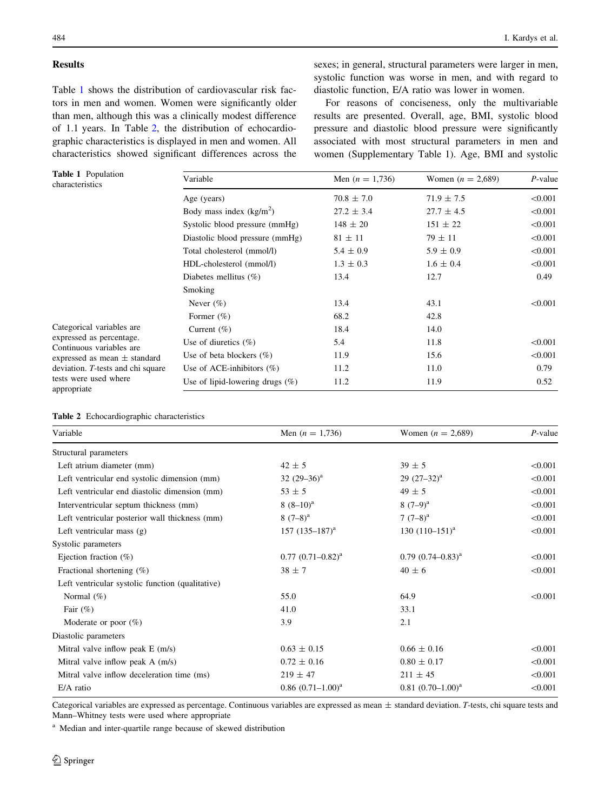# Results

Table 1 shows the distribution of cardiovascular risk factors in men and women. Women were significantly older than men, although this was a clinically modest difference of 1.1 years. In Table 2, the distribution of echocardiographic characteristics is displayed in men and women. All characteristics showed significant differences across the sexes; in general, structural parameters were larger in men, systolic function was worse in men, and with regard to diastolic function, E/A ratio was lower in women.

For reasons of conciseness, only the multivariable results are presented. Overall, age, BMI, systolic blood pressure and diastolic blood pressure were significantly associated with most structural parameters in men and women (Supplementary Table 1). Age, BMI and systolic

| <b>Table 1</b> Population<br>characteristics         | Variable                           | Men $(n = 1,736)$ | Women $(n = 2,689)$ | $P$ -value |
|------------------------------------------------------|------------------------------------|-------------------|---------------------|------------|
|                                                      | Age (years)                        | $70.8 \pm 7.0$    | $71.9 \pm 7.5$      | < 0.001    |
|                                                      | Body mass index $(kg/m2)$          | $27.2 \pm 3.4$    | $27.7 \pm 4.5$      | < 0.001    |
|                                                      | Systolic blood pressure (mmHg)     | $148 \pm 20$      | $151 \pm 22$        | < 0.001    |
|                                                      | Diastolic blood pressure (mmHg)    | $81 \pm 11$       | $79 \pm 11$         | < 0.001    |
|                                                      | Total cholesterol (mmol/l)         | $5.4 \pm 0.9$     | $5.9 \pm 0.9$       | < 0.001    |
|                                                      | HDL-cholesterol (mmol/l)           | $1.3 \pm 0.3$     | $1.6 \pm 0.4$       | < 0.001    |
|                                                      | Diabetes mellitus $(\%)$           | 13.4              | 12.7                | 0.49       |
|                                                      | Smoking                            |                   |                     |            |
|                                                      | Never $(\%)$                       | 13.4              | 43.1                | < 0.001    |
|                                                      | Former $(\%)$                      | 68.2              | 42.8                |            |
| Categorical variables are                            | Current $(\%)$                     | 18.4              | 14.0                |            |
| expressed as percentage.<br>Continuous variables are | Use of diuretics $(\%)$            | 5.4               | 11.8                | < 0.001    |
| expressed as mean $\pm$ standard                     | Use of beta blockers $(\%)$        | 11.9              | 15.6                | < 0.001    |
| deviation. T-tests and chi square                    | Use of ACE-inhibitors $(\%)$       | 11.2              | 11.0                | 0.79       |
| tests were used where<br>appropriate                 | Use of lipid-lowering drugs $(\%)$ | 11.2              | 11.9                | 0.52       |

|  | <b>Table 2</b> Echocardiographic characteristics |  |
|--|--------------------------------------------------|--|
|--|--------------------------------------------------|--|

| Variable                                         | Men $(n = 1,736)$      | Women $(n = 2,689)$      | $P$ -value |
|--------------------------------------------------|------------------------|--------------------------|------------|
| Structural parameters                            |                        |                          |            |
| Left atrium diameter (mm)                        | $42 \pm 5$             | $39 \pm 5$               | < 0.001    |
| Left ventricular end systolic dimension (mm)     | 32 $(29-36)^a$         | 29 $(27-32)^a$           | < 0.001    |
| Left ventricular end diastolic dimension (mm)    | $53 \pm 5$             | $49 \pm 5$               | < 0.001    |
| Interventricular septum thickness (mm)           | $8(8-10)^a$            | $8(7-9)^{a}$             | < 0.001    |
| Left ventricular posterior wall thickness (mm)   | $8(7-8)^a$             | $7(7-8)^a$               | < 0.001    |
| Left ventricular mass $(g)$                      | 157 $(135-187)^a$      | 130 $(110-151)^a$        | < 0.001    |
| Systolic parameters                              |                        |                          |            |
| Ejection fraction $(\%)$                         | $0.77$ $(0.71-0.82)^a$ | $0.79$ $(0.74 - 0.83)^a$ | < 0.001    |
| Fractional shortening $(\%)$                     | $38 \pm 7$             | $40 \pm 6$               | < 0.001    |
| Left ventricular systolic function (qualitative) |                        |                          |            |
| Normal $(\%)$                                    | 55.0                   | 64.9                     | < 0.001    |
| Fair $(\%)$                                      | 41.0                   | 33.1                     |            |
| Moderate or poor $(\%)$                          | 3.9                    | 2.1                      |            |
| Diastolic parameters                             |                        |                          |            |
| Mitral valve inflow peak $E(m/s)$                | $0.63 \pm 0.15$        | $0.66 \pm 0.16$          | < 0.001    |
| Mitral valve inflow peak $A$ (m/s)               | $0.72 \pm 0.16$        | $0.80 \pm 0.17$          | < 0.001    |
| Mitral valve inflow deceleration time (ms)       | $219 \pm 47$           | $211 \pm 45$             | < 0.001    |
| $E/A$ ratio                                      | $0.86$ $(0.71-1.00)^a$ | $0.81(0.70-1.00)^a$      | < 0.001    |
|                                                  |                        |                          |            |

Categorical variables are expressed as percentage. Continuous variables are expressed as mean ± standard deviation. T-tests, chi square tests and Mann–Whitney tests were used where appropriate

<sup>a</sup> Median and inter-quartile range because of skewed distribution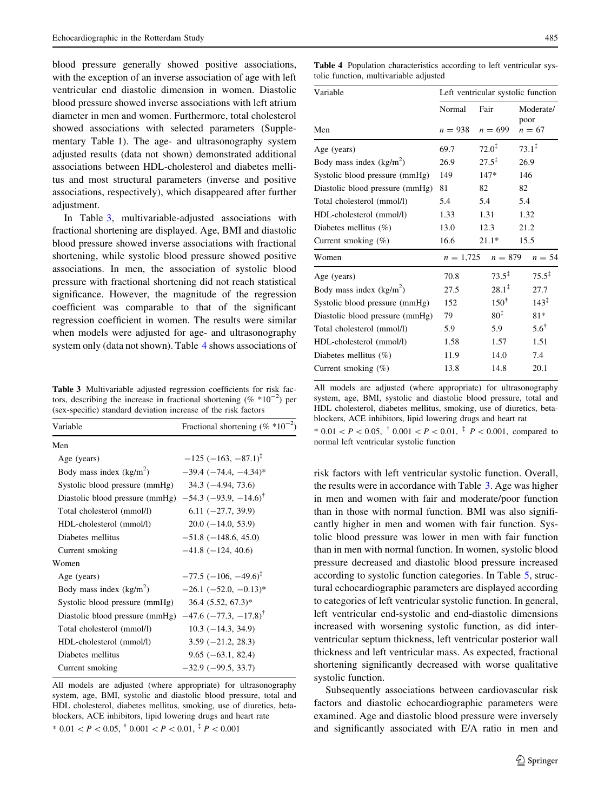blood pressure generally showed positive associations, with the exception of an inverse association of age with left ventricular end diastolic dimension in women. Diastolic blood pressure showed inverse associations with left atrium diameter in men and women. Furthermore, total cholesterol showed associations with selected parameters (Supplementary Table 1). The age- and ultrasonography system adjusted results (data not shown) demonstrated additional associations between HDL-cholesterol and diabetes mellitus and most structural parameters (inverse and positive associations, respectively), which disappeared after further adjustment.

In Table 3, multivariable-adjusted associations with fractional shortening are displayed. Age, BMI and diastolic blood pressure showed inverse associations with fractional shortening, while systolic blood pressure showed positive associations. In men, the association of systolic blood pressure with fractional shortening did not reach statistical significance. However, the magnitude of the regression coefficient was comparable to that of the significant regression coefficient in women. The results were similar when models were adjusted for age- and ultrasonography system only (data not shown). Table 4 shows associations of

Table 3 Multivariable adjusted regression coefficients for risk factors, describing the increase in fractional shortening ( $%$  \*10<sup>-2</sup>) per (sex-specific) standard deviation increase of the risk factors

| Variable                                                                   | Fractional shortening (% $*10^{-2}$ )     |
|----------------------------------------------------------------------------|-------------------------------------------|
| Men                                                                        |                                           |
| Age (years)                                                                | $-125$ ( $-163$ , $-87.1$ ) <sup>T</sup>  |
| Body mass index $(kg/m2)$                                                  | $-39.4$ $(-74.4, -4.34)$ <sup>*</sup>     |
| Systolic blood pressure (mmHg)                                             | $34.3(-4.94, 73.6)$                       |
| Diastolic blood pressure (mmHg) $-54.3$ ( $-93.9$ , $-14.6$ ) <sup>†</sup> |                                           |
| Total cholesterol (mmol/l)                                                 | $6.11 (-27.7, 39.9)$                      |
| HDL-cholesterol (mmol/l)                                                   | $20.0$ ( $-14.0$ , 53.9)                  |
| Diabetes mellitus                                                          | $-51.8$ ( $-148.6$ , 45.0)                |
| Current smoking                                                            | $-41.8$ ( $-124$ , 40.6)                  |
| Women                                                                      |                                           |
| Age (years)                                                                | $-77.5$ ( $-106$ , $-49.6$ ) <sup>†</sup> |
| Body mass index $(kg/m2)$                                                  | $-26.1$ $(-52.0, -0.13)$ <sup>*</sup>     |
| Systolic blood pressure (mmHg)                                             | $36.4$ $(5.52, 67.3)^*$                   |
| Diastolic blood pressure (mmHg) $-47.6$ ( $-77.3$ , $-17.8$ ) <sup>†</sup> |                                           |
| Total cholesterol (mmol/l)                                                 | $10.3(-14.3, 34.9)$                       |
| HDL-cholesterol (mmol/l)                                                   | $3.59(-21.2, 28.3)$                       |
| Diabetes mellitus                                                          | $9.65(-63.1, 82.4)$                       |
| Current smoking                                                            | $-32.9(-99.5, 33.7)$                      |

All models are adjusted (where appropriate) for ultrasonography system, age, BMI, systolic and diastolic blood pressure, total and HDL cholesterol, diabetes mellitus, smoking, use of diuretics, betablockers, ACE inhibitors, lipid lowering drugs and heart rate \*  $0.01 < P < 0.05$ ,  $\dagger$   $0.001 < P < 0.01$ ,  $\dagger$   $P < 0.001$ 

Table 4 Population characteristics according to left ventricular systolic function, multivariable adjusted

| Variable                        | Left ventricular systolic function |      |                   |                   |                   |
|---------------------------------|------------------------------------|------|-------------------|-------------------|-------------------|
|                                 | Normal                             | Fair |                   |                   | Moderate/         |
| Men                             | $n = 938$                          |      | $n = 699$         | poor              | $n = 67$          |
| Age (years)                     | 69.7                               |      | $72.0^{\ddagger}$ | $73.1^{\ddagger}$ |                   |
| Body mass index $(kg/m2)$       | 26.9                               |      | $27.5^{\ddagger}$ | 26.9              |                   |
| Systolic blood pressure (mmHg)  | 149                                |      | $147*$            | 146               |                   |
| Diastolic blood pressure (mmHg) | 81                                 | 82   |                   | 82                |                   |
| Total cholesterol (mmol/l)      | 5.4                                | 5.4  |                   | 5.4               |                   |
| HDL-cholesterol (mmol/l)        | 1.33                               |      | 1.31              | 1.32              |                   |
| Diabetes mellitus $(\%)$        | 13.0                               |      | 12.3              | 21.2              |                   |
| Current smoking $(\%)$          | 16.6                               |      | $21.1*$           | 15.5              |                   |
| Women                           | $n = 1,725$                        |      | $n = 879$         |                   | $n = 54$          |
| Age (years)                     | 70.8                               |      | $73.5^{\ddagger}$ |                   | $75.5^{\ddagger}$ |
| Body mass index $(kg/m2)$       | 27.5                               |      | $28.1^{\ddagger}$ |                   | 27.7              |
| Systolic blood pressure (mmHg)  | 152                                |      | $150^{\dagger}$   |                   | $143^{\ddagger}$  |
| Diastolic blood pressure (mmHg) | 79                                 |      | $80^{\ddagger}$   |                   | $81*$             |
| Total cholesterol (mmol/l)      | 5.9                                |      | 5.9               |                   | $5.6^{\dagger}$   |
| HDL-cholesterol (mmol/l)        | 1.58                               |      | 1.57              |                   | 1.51              |
| Diabetes mellitus $(\%)$        | 11.9                               |      | 14.0              |                   | 7.4               |
| Current smoking $(\%)$          | 13.8                               |      | 14.8              |                   | 20.1              |
|                                 |                                    |      |                   |                   |                   |

All models are adjusted (where appropriate) for ultrasonography system, age, BMI, systolic and diastolic blood pressure, total and HDL cholesterol, diabetes mellitus, smoking, use of diuretics, betablockers, ACE inhibitors, lipid lowering drugs and heart rat

 $*$  0.01  $\lt P \lt 0.05$ ,  $*$  0.001  $\lt P \lt 0.01$ ,  $*$   $P \lt 0.001$ , compared to normal left ventricular systolic function

risk factors with left ventricular systolic function. Overall, the results were in accordance with Table 3. Age was higher in men and women with fair and moderate/poor function than in those with normal function. BMI was also significantly higher in men and women with fair function. Systolic blood pressure was lower in men with fair function than in men with normal function. In women, systolic blood pressure decreased and diastolic blood pressure increased according to systolic function categories. In Table [5](#page-5-0), structural echocardiographic parameters are displayed according to categories of left ventricular systolic function. In general, left ventricular end-systolic and end-diastolic dimensions increased with worsening systolic function, as did interventricular septum thickness, left ventricular posterior wall thickness and left ventricular mass. As expected, fractional shortening significantly decreased with worse qualitative systolic function.

Subsequently associations between cardiovascular risk factors and diastolic echocardiographic parameters were examined. Age and diastolic blood pressure were inversely and significantly associated with E/A ratio in men and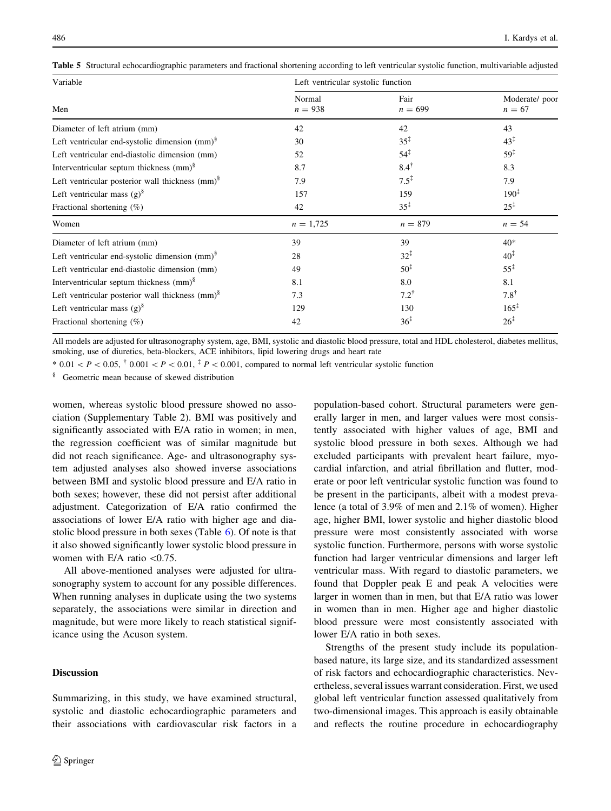| Variable                                                    | Left ventricular systolic function |                   |                           |
|-------------------------------------------------------------|------------------------------------|-------------------|---------------------------|
| Men                                                         | Normal<br>$n = 938$                | Fair<br>$n = 699$ | Moderate/poor<br>$n = 67$ |
| Diameter of left atrium (mm)                                | 42                                 | 42                | 43                        |
| Left ventricular end-systolic dimension $(mm)^8$            | 30                                 | $35^{\ddagger}$   | $43^{\ddagger}$           |
| Left ventricular end-diastolic dimension (mm)               | 52                                 | $54^{\ddagger}$   | $59^{\ddagger}$           |
| Interventricular septum thickness (mm) <sup>§</sup>         | 8.7                                | $8.4^{\dagger}$   | 8.3                       |
| Left ventricular posterior wall thickness $(mm)^8$          | 7.9                                | $7.5^{\ddagger}$  | 7.9                       |
| Left ventricular mass $(g)^8$                               | 157                                | 159               | $190^{\ddagger}$          |
| Fractional shortening $(\%)$                                | 42                                 | $35^{\ddagger}$   | $25^{\ddagger}$           |
| Women                                                       | $n = 1,725$                        | $n = 879$         | $n = 54$                  |
| Diameter of left atrium (mm)                                | 39                                 | 39                | $40*$                     |
| Left ventricular end-systolic dimension $(mm)^8$            | 28                                 | $32^{\ddagger}$   | $40^{\ddagger}$           |
| Left ventricular end-diastolic dimension (mm)               | 49                                 | $50^{\ddagger}$   | $55^{\ddagger}$           |
| Interventricular septum thickness $\text{(mm)}^{\S}$        | 8.1                                | 8.0               | 8.1                       |
| Left ventricular posterior wall thickness (mm) <sup>§</sup> | 7.3                                | $7.2^{\dagger}$   | $7.8^{\dagger}$           |
| Left ventricular mass $(g)^8$                               | 129                                | 130               | $165^{\ddagger}$          |
| Fractional shortening $(\%)$                                | 42                                 | $36^{\ddagger}$   | $26^{\ddagger}$           |

<span id="page-5-0"></span>Table 5 Structural echocardiographic parameters and fractional shortening according to left ventricular systolic function, multivariable adjusted

All models are adjusted for ultrasonography system, age, BMI, systolic and diastolic blood pressure, total and HDL cholesterol, diabetes mellitus, smoking, use of diuretics, beta-blockers, ACE inhibitors, lipid lowering drugs and heart rate

 $*$  0.01  $\lt P \lt 0.05$ ,  $*$  0.001  $\lt P \lt 0.01$ ,  $*$   $P \lt 0.001$ , compared to normal left ventricular systolic function

§ Geometric mean because of skewed distribution

women, whereas systolic blood pressure showed no association (Supplementary Table 2). BMI was positively and significantly associated with E/A ratio in women; in men, the regression coefficient was of similar magnitude but did not reach significance. Age- and ultrasonography system adjusted analyses also showed inverse associations between BMI and systolic blood pressure and E/A ratio in both sexes; however, these did not persist after additional adjustment. Categorization of E/A ratio confirmed the associations of lower E/A ratio with higher age and diastolic blood pressure in both sexes (Table  $6$ ). Of note is that it also showed significantly lower systolic blood pressure in women with E/A ratio  $\leq 0.75$ .

All above-mentioned analyses were adjusted for ultrasonography system to account for any possible differences. When running analyses in duplicate using the two systems separately, the associations were similar in direction and magnitude, but were more likely to reach statistical significance using the Acuson system.

# Discussion

Summarizing, in this study, we have examined structural, systolic and diastolic echocardiographic parameters and their associations with cardiovascular risk factors in a population-based cohort. Structural parameters were generally larger in men, and larger values were most consistently associated with higher values of age, BMI and systolic blood pressure in both sexes. Although we had excluded participants with prevalent heart failure, myocardial infarction, and atrial fibrillation and flutter, moderate or poor left ventricular systolic function was found to be present in the participants, albeit with a modest prevalence (a total of 3.9% of men and 2.1% of women). Higher age, higher BMI, lower systolic and higher diastolic blood pressure were most consistently associated with worse systolic function. Furthermore, persons with worse systolic function had larger ventricular dimensions and larger left ventricular mass. With regard to diastolic parameters, we found that Doppler peak E and peak A velocities were larger in women than in men, but that E/A ratio was lower in women than in men. Higher age and higher diastolic blood pressure were most consistently associated with lower E/A ratio in both sexes.

Strengths of the present study include its populationbased nature, its large size, and its standardized assessment of risk factors and echocardiographic characteristics. Nevertheless, several issues warrant consideration. First, we used global left ventricular function assessed qualitatively from two-dimensional images. This approach is easily obtainable and reflects the routine procedure in echocardiography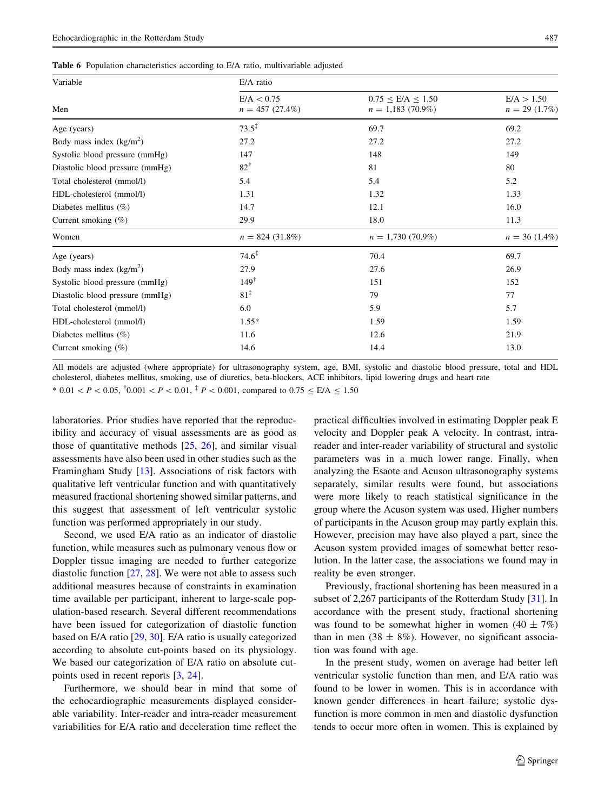<span id="page-6-0"></span>Table 6 Population characteristics according to E/A ratio, multivariable adjusted

| Variable                        | E/A ratio                       |                                                  |                               |
|---------------------------------|---------------------------------|--------------------------------------------------|-------------------------------|
| Men                             | E/A < 0.75<br>$n = 457(27.4\%)$ | $0.75 \leq E/A \leq 1.50$<br>$n = 1,183(70.9\%)$ | E/A > 1.50<br>$n = 29$ (1.7%) |
| Age (years)                     | $73.5^{\ddagger}$               | 69.7                                             | 69.2                          |
| Body mass index $(kg/m2)$       | 27.2                            | 27.2                                             | 27.2                          |
| Systolic blood pressure (mmHg)  | 147                             | 148                                              | 149                           |
| Diastolic blood pressure (mmHg) | $82^{\dagger}$                  | 81                                               | 80                            |
| Total cholesterol (mmol/l)      | 5.4                             | 5.4                                              | 5.2                           |
| HDL-cholesterol (mmol/l)        | 1.31                            | 1.32                                             | 1.33                          |
| Diabetes mellitus $(\%)$        | 14.7                            | 12.1                                             | 16.0                          |
| Current smoking $(\%)$          | 29.9                            | 18.0                                             | 11.3                          |
| Women                           | $n = 824$ (31.8%)               | $n = 1,730(70.9\%)$                              | $n = 36$ (1.4%)               |
| Age (years)                     | $74.6^{\ddagger}$               | 70.4                                             | 69.7                          |
| Body mass index $(kg/m2)$       | 27.9                            | 27.6                                             | 26.9                          |
| Systolic blood pressure (mmHg)  | $149^{\dagger}$                 | 151                                              | 152                           |
| Diastolic blood pressure (mmHg) | $81^{\ddagger}$                 | 79                                               | 77                            |
| Total cholesterol (mmol/l)      | 6.0                             | 5.9                                              | 5.7                           |
| HDL-cholesterol (mmol/l)        | $1.55*$                         | 1.59                                             | 1.59                          |
| Diabetes mellitus $(\%)$        | 11.6                            | 12.6                                             | 21.9                          |
| Current smoking (%)             | 14.6                            | 14.4                                             | 13.0                          |

All models are adjusted (where appropriate) for ultrasonography system, age, BMI, systolic and diastolic blood pressure, total and HDL cholesterol, diabetes mellitus, smoking, use of diuretics, beta-blockers, ACE inhibitors, lipid lowering drugs and heart rate

\* 0.01 <  $P$  < 0.05,  $\frac{1}{10}$ .001 <  $P$  < 0.01,  $\frac{1}{10}$  P < 0.001, compared to 0.75  $\leq$  E/A  $\leq$  1.50

laboratories. Prior studies have reported that the reproducibility and accuracy of visual assessments are as good as those of quantitative methods [[25,](#page-9-0) [26](#page-9-0)], and similar visual assessments have also been used in other studies such as the Framingham Study [[13\]](#page-8-0). Associations of risk factors with qualitative left ventricular function and with quantitatively measured fractional shortening showed similar patterns, and this suggest that assessment of left ventricular systolic function was performed appropriately in our study.

Second, we used E/A ratio as an indicator of diastolic function, while measures such as pulmonary venous flow or Doppler tissue imaging are needed to further categorize diastolic function [[27,](#page-9-0) [28\]](#page-9-0). We were not able to assess such additional measures because of constraints in examination time available per participant, inherent to large-scale population-based research. Several different recommendations have been issued for categorization of diastolic function based on E/A ratio [[29,](#page-9-0) [30\]](#page-9-0). E/A ratio is usually categorized according to absolute cut-points based on its physiology. We based our categorization of E/A ratio on absolute cutpoints used in recent reports [\[3](#page-8-0), [24\]](#page-9-0).

Furthermore, we should bear in mind that some of the echocardiographic measurements displayed considerable variability. Inter-reader and intra-reader measurement variabilities for E/A ratio and deceleration time reflect the practical difficulties involved in estimating Doppler peak E velocity and Doppler peak A velocity. In contrast, intrareader and inter-reader variability of structural and systolic parameters was in a much lower range. Finally, when analyzing the Esaote and Acuson ultrasonography systems separately, similar results were found, but associations were more likely to reach statistical significance in the group where the Acuson system was used. Higher numbers of participants in the Acuson group may partly explain this. However, precision may have also played a part, since the Acuson system provided images of somewhat better resolution. In the latter case, the associations we found may in reality be even stronger.

Previously, fractional shortening has been measured in a subset of 2,267 participants of the Rotterdam Study [[31\]](#page-9-0). In accordance with the present study, fractional shortening was found to be somewhat higher in women  $(40 \pm 7\%)$ than in men (38  $\pm$  8%). However, no significant association was found with age.

In the present study, women on average had better left ventricular systolic function than men, and E/A ratio was found to be lower in women. This is in accordance with known gender differences in heart failure; systolic dysfunction is more common in men and diastolic dysfunction tends to occur more often in women. This is explained by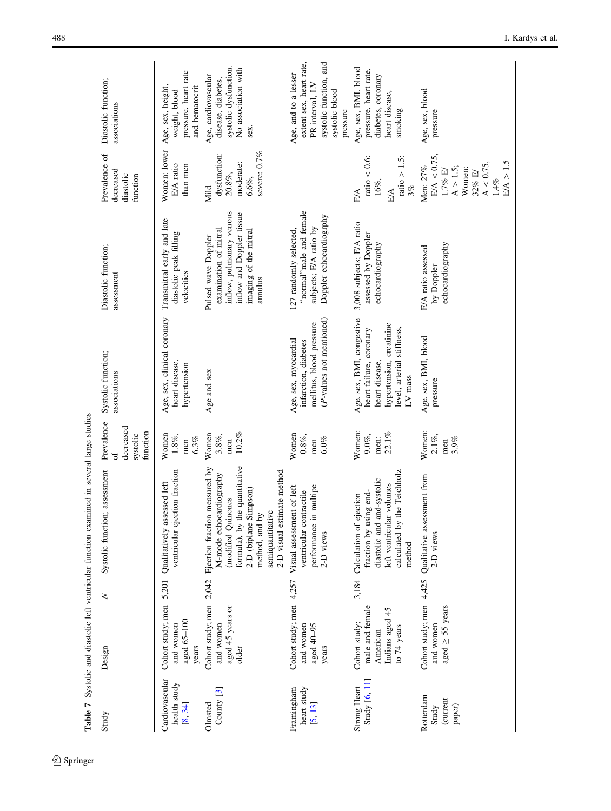<span id="page-7-0"></span>

| Table 7                                   |                                                                                  |        | Systolic and diastolic left ventricular function examined in several large studies                                                                                                                          |                                                      |                                                                                                                                               |                                                                                                                                           |                                                                                                                     |                                                                                                                            |
|-------------------------------------------|----------------------------------------------------------------------------------|--------|-------------------------------------------------------------------------------------------------------------------------------------------------------------------------------------------------------------|------------------------------------------------------|-----------------------------------------------------------------------------------------------------------------------------------------------|-------------------------------------------------------------------------------------------------------------------------------------------|---------------------------------------------------------------------------------------------------------------------|----------------------------------------------------------------------------------------------------------------------------|
| Study                                     | Design                                                                           | $\geq$ | Systolic function; assessment                                                                                                                                                                               | Prevalence<br>decreased<br>function<br>systolic<br>F | Systolic function;<br>associations                                                                                                            | Diastolic function;<br>assessment                                                                                                         | Prevalence of<br>decreased<br>diastolic<br>function                                                                 | Diastolic function;<br>associations                                                                                        |
| Cardiovascular<br>health study<br>[8, 34] | Cohort study; men 5,201<br>aged 65-100<br>and women<br>years                     |        | ventricular ejection fraction<br>Qualitatively assessed left                                                                                                                                                | Women<br>$1.8\%,$<br>6.3%<br>men                     | Age, sex, clinical coronary<br>heart disease,<br>hypertension                                                                                 | Transmitral early and late<br>diastolic peak filling<br>velocities                                                                        | Women: lower<br>E/A ratio<br>than men                                                                               | pressure, heart rate<br>Age, sex, height,<br>and hematocrit<br>weight, blood                                               |
| County $[3]$<br>Olmsted                   | Cohort study; men 2,042<br>aged 45 years or<br>and women<br>older                |        | formula), by the quantitative<br>Ejection fraction measured by<br>2-D visual estimate method<br>M-mode echocardiography<br>2-D (biplane Simpson)<br>modified Quinones<br>semiquantitative<br>method, and by | Women<br>10.2%<br>3.8%,<br>men                       | Age and sex                                                                                                                                   | inflow, pulmonary venous<br>inflow and Doppler tissue<br>examination of mitral<br>imaging of the mitral<br>Pulsed wave Doppler<br>annulus | severe: 0.7%<br>dysfunction:<br>moderate:<br>$20.8\%$ ,<br>$6.6\%$ ,<br>Mild                                        | systolic dysfunction.<br>No association with<br>Age, cardiovascular<br>disease, diabetes,<br>sex.                          |
| heart study<br>Framingham<br>[5, 13]      | Cohort study; men<br>and women<br>aged 40-95<br>years                            | 4,257  | Visual assessment of left<br>performance in multipe<br>ventricular contractile<br>2-D views                                                                                                                 | Women<br>$0.8\%$ ,<br>6.0%<br>men                    | $(P$ -values not mentioned)<br>mellitus, blood pressure<br>Age, sex, myocardial<br>infarction, diabetes                                       | "normal" male and female<br>Doppler echocardiogrphy<br>subjects; E/A ratio by<br>127 randomly selected,                                   |                                                                                                                     | extent sex, heart rate,<br>systolic function, and<br>Age, and to a lesser<br>PR interval, LV<br>systolic blood<br>pressure |
| Study [6, 11]<br>Strong Heart             | male and female<br>Indians aged 45<br>Cohort study;<br>to $74$ years<br>American | 3,184  | the Teichholz<br>diastolic and and-systolic<br>left ventricular volumes<br>fraction by using end-<br>Calculation of ejection<br>calculated by<br>method                                                     | Women:<br>$9.0\%$ ,<br>22.1%<br>men:                 | Age, sex, BMI, congestive<br>hypertension, creatinine<br>level, arterial stiffness,<br>heart failure, coronary<br>heart disease,<br>$LV$ mass | 3,008 subjects; E/A ratio<br>assessed by Doppler<br>echocardiography                                                                      | ratio $> 1.5$ :<br>ratio < $0.6$ :<br>16%,<br>3%<br>EA<br>E/A                                                       | Age, sex, BMI, blood<br>pressure, heart rate,<br>diabetes, coronary<br>heart disease,<br>smoking                           |
| Rotterdam<br>(current<br>Study<br>paper)  | Cohort study; men 4,425<br>aged $\geq$ 55 years<br>and women                     |        | Qualitative assessment from<br>2-D views                                                                                                                                                                    | Women:<br>$2.1\%$ ,<br>3.9%<br>men                   | Age, sex, BMI, blood<br>pressure                                                                                                              | echocardiography<br>E/A ratio assessed<br>by Doppler                                                                                      | $E/A < 0.75$ ,<br>E/A > 1.5<br>$A < 0.75$ ,<br>Men: 27%<br>$A > 1.5$ ;<br>Women:<br>$1.7\%$ E/<br>32% E/<br>$1.4\%$ | Age, sex, blood<br>pressure                                                                                                |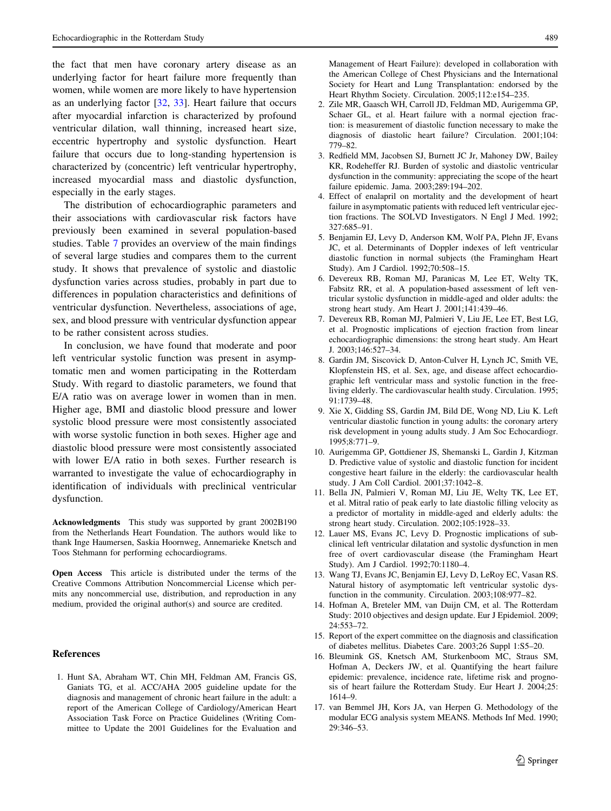<span id="page-8-0"></span>the fact that men have coronary artery disease as an underlying factor for heart failure more frequently than women, while women are more likely to have hypertension as an underlying factor [\[32](#page-9-0), [33](#page-9-0)]. Heart failure that occurs after myocardial infarction is characterized by profound ventricular dilation, wall thinning, increased heart size, eccentric hypertrophy and systolic dysfunction. Heart failure that occurs due to long-standing hypertension is characterized by (concentric) left ventricular hypertrophy, increased myocardial mass and diastolic dysfunction, especially in the early stages.

The distribution of echocardiographic parameters and their associations with cardiovascular risk factors have previously been examined in several population-based studies. Table [7](#page-7-0) provides an overview of the main findings of several large studies and compares them to the current study. It shows that prevalence of systolic and diastolic dysfunction varies across studies, probably in part due to differences in population characteristics and definitions of ventricular dysfunction. Nevertheless, associations of age, sex, and blood pressure with ventricular dysfunction appear to be rather consistent across studies.

In conclusion, we have found that moderate and poor left ventricular systolic function was present in asymptomatic men and women participating in the Rotterdam Study. With regard to diastolic parameters, we found that E/A ratio was on average lower in women than in men. Higher age, BMI and diastolic blood pressure and lower systolic blood pressure were most consistently associated with worse systolic function in both sexes. Higher age and diastolic blood pressure were most consistently associated with lower E/A ratio in both sexes. Further research is warranted to investigate the value of echocardiography in identification of individuals with preclinical ventricular dysfunction.

Acknowledgments This study was supported by grant 2002B190 from the Netherlands Heart Foundation. The authors would like to thank Inge Haumersen, Saskia Hoornweg, Annemarieke Knetsch and Toos Stehmann for performing echocardiograms.

Open Access This article is distributed under the terms of the Creative Commons Attribution Noncommercial License which permits any noncommercial use, distribution, and reproduction in any medium, provided the original author(s) and source are credited.

#### **References**

1. Hunt SA, Abraham WT, Chin MH, Feldman AM, Francis GS, Ganiats TG, et al. ACC/AHA 2005 guideline update for the diagnosis and management of chronic heart failure in the adult: a report of the American College of Cardiology/American Heart Association Task Force on Practice Guidelines (Writing Committee to Update the 2001 Guidelines for the Evaluation and

Management of Heart Failure): developed in collaboration with the American College of Chest Physicians and the International Society for Heart and Lung Transplantation: endorsed by the Heart Rhythm Society. Circulation. 2005;112:e154–235.

- 2. Zile MR, Gaasch WH, Carroll JD, Feldman MD, Aurigemma GP, Schaer GL, et al. Heart failure with a normal ejection fraction: is measurement of diastolic function necessary to make the diagnosis of diastolic heart failure? Circulation. 2001;104: 779–82.
- 3. Redfield MM, Jacobsen SJ, Burnett JC Jr, Mahoney DW, Bailey KR, Rodeheffer RJ. Burden of systolic and diastolic ventricular dysfunction in the community: appreciating the scope of the heart failure epidemic. Jama. 2003;289:194–202.
- 4. Effect of enalapril on mortality and the development of heart failure in asymptomatic patients with reduced left ventricular ejection fractions. The SOLVD Investigators. N Engl J Med. 1992; 327:685–91.
- 5. Benjamin EJ, Levy D, Anderson KM, Wolf PA, Plehn JF, Evans JC, et al. Determinants of Doppler indexes of left ventricular diastolic function in normal subjects (the Framingham Heart Study). Am J Cardiol. 1992;70:508–15.
- 6. Devereux RB, Roman MJ, Paranicas M, Lee ET, Welty TK, Fabsitz RR, et al. A population-based assessment of left ventricular systolic dysfunction in middle-aged and older adults: the strong heart study. Am Heart J. 2001;141:439–46.
- 7. Devereux RB, Roman MJ, Palmieri V, Liu JE, Lee ET, Best LG, et al. Prognostic implications of ejection fraction from linear echocardiographic dimensions: the strong heart study. Am Heart J. 2003;146:527–34.
- 8. Gardin JM, Siscovick D, Anton-Culver H, Lynch JC, Smith VE, Klopfenstein HS, et al. Sex, age, and disease affect echocardiographic left ventricular mass and systolic function in the freeliving elderly. The cardiovascular health study. Circulation. 1995; 91:1739–48.
- 9. Xie X, Gidding SS, Gardin JM, Bild DE, Wong ND, Liu K. Left ventricular diastolic function in young adults: the coronary artery risk development in young adults study. J Am Soc Echocardiogr. 1995;8:771–9.
- 10. Aurigemma GP, Gottdiener JS, Shemanski L, Gardin J, Kitzman D. Predictive value of systolic and diastolic function for incident congestive heart failure in the elderly: the cardiovascular health study. J Am Coll Cardiol. 2001;37:1042–8.
- 11. Bella JN, Palmieri V, Roman MJ, Liu JE, Welty TK, Lee ET, et al. Mitral ratio of peak early to late diastolic filling velocity as a predictor of mortality in middle-aged and elderly adults: the strong heart study. Circulation. 2002;105:1928–33.
- 12. Lauer MS, Evans JC, Levy D. Prognostic implications of subclinical left ventricular dilatation and systolic dysfunction in men free of overt cardiovascular disease (the Framingham Heart Study). Am J Cardiol. 1992;70:1180–4.
- 13. Wang TJ, Evans JC, Benjamin EJ, Levy D, LeRoy EC, Vasan RS. Natural history of asymptomatic left ventricular systolic dysfunction in the community. Circulation. 2003;108:977–82.
- 14. Hofman A, Breteler MM, van Duijn CM, et al. The Rotterdam Study: 2010 objectives and design update. Eur J Epidemiol. 2009; 24:553–72.
- 15. Report of the expert committee on the diagnosis and classification of diabetes mellitus. Diabetes Care. 2003;26 Suppl 1:S5–20.
- 16. Bleumink GS, Knetsch AM, Sturkenboom MC, Straus SM, Hofman A, Deckers JW, et al. Quantifying the heart failure epidemic: prevalence, incidence rate, lifetime risk and prognosis of heart failure the Rotterdam Study. Eur Heart J. 2004;25: 1614–9.
- 17. van Bemmel JH, Kors JA, van Herpen G. Methodology of the modular ECG analysis system MEANS. Methods Inf Med. 1990; 29:346–53.